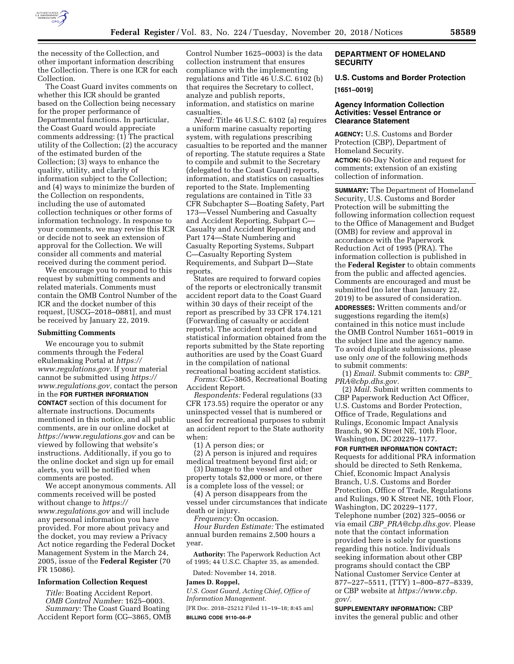

the necessity of the Collection, and other important information describing the Collection. There is one ICR for each Collection.

The Coast Guard invites comments on whether this ICR should be granted based on the Collection being necessary for the proper performance of Departmental functions. In particular, the Coast Guard would appreciate comments addressing: (1) The practical utility of the Collection; (2) the accuracy of the estimated burden of the Collection; (3) ways to enhance the quality, utility, and clarity of information subject to the Collection; and (4) ways to minimize the burden of the Collection on respondents, including the use of automated collection techniques or other forms of information technology. In response to your comments, we may revise this ICR or decide not to seek an extension of approval for the Collection. We will consider all comments and material received during the comment period.

We encourage you to respond to this request by submitting comments and related materials. Comments must contain the OMB Control Number of the ICR and the docket number of this request, [USCG–2018–0881], and must be received by January 22, 2019.

#### **Submitting Comments**

We encourage you to submit comments through the Federal eRulemaking Portal at *https:// www.regulations.gov.* If your material cannot be submitted using *https:// www.regulations.gov,* contact the person in the **FOR FURTHER INFORMATION CONTACT** section of this document for alternate instructions. Documents mentioned in this notice, and all public comments, are in our online docket at *https://www.regulations.gov* and can be viewed by following that website's instructions. Additionally, if you go to the online docket and sign up for email alerts, you will be notified when comments are posted.

We accept anonymous comments. All comments received will be posted without change to *https:// www.regulations.gov* and will include any personal information you have provided. For more about privacy and the docket, you may review a Privacy Act notice regarding the Federal Docket Management System in the March 24, 2005, issue of the **Federal Register** (70 FR 15086).

### **Information Collection Request**

*Title:* Boating Accident Report. *OMB Control Number:* 1625–0003. *Summary:* The Coast Guard Boating Accident Report form (CG–3865, OMB

Control Number 1625–0003) is the data collection instrument that ensures compliance with the implementing regulations and Title 46 U.S.C. 6102 (b) that requires the Secretary to collect, analyze and publish reports, information, and statistics on marine casualties.

*Need:* Title 46 U.S.C. 6102 (a) requires a uniform marine casualty reporting system, with regulations prescribing casualties to be reported and the manner of reporting. The statute requires a State to compile and submit to the Secretary (delegated to the Coast Guard) reports, information, and statistics on casualties reported to the State. Implementing regulations are contained in Title 33 CFR Subchapter S—Boating Safety, Part 173—Vessel Numbering and Casualty and Accident Reporting, Subpart C— Casualty and Accident Reporting and Part 174—State Numbering and Casualty Reporting Systems, Subpart C—Casualty Reporting System Requirements, and Subpart D—State reports.

States are required to forward copies of the reports or electronically transmit accident report data to the Coast Guard within 30 days of their receipt of the report as prescribed by 33 CFR 174.121 (Forwarding of casualty or accident reports). The accident report data and statistical information obtained from the reports submitted by the State reporting authorities are used by the Coast Guard in the compilation of national recreational boating accident statistics.

*Forms:* CG–3865, Recreational Boating Accident Report.

*Respondents:* Federal regulations (33 CFR 173.55) require the operator or any uninspected vessel that is numbered or used for recreational purposes to submit an accident report to the State authority when:

(1) A person dies; or

(2) A person is injured and requires medical treatment beyond first aid; or

(3) Damage to the vessel and other property totals \$2,000 or more, or there is a complete loss of the vessel; or

(4) A person disappears from the vessel under circumstances that indicate death or injury.

*Frequency:* On occasion.

*Hour Burden Estimate:* The estimated annual burden remains 2,500 hours a year.

**Authority:** The Paperwork Reduction Act of 1995; 44 U.S.C. Chapter 35, as amended.

Dated: November 14, 2018.

### **James D. Roppel,**

*U.S. Coast Guard, Acting Chief, Office of Information Management.* 

[FR Doc. 2018–25212 Filed 11–19–18; 8:45 am] **BILLING CODE 9110–04–P** 

# **DEPARTMENT OF HOMELAND SECURITY**

# **U.S. Customs and Border Protection [1651–0019]**

## **Agency Information Collection Activities: Vessel Entrance or Clearance Statement**

**AGENCY:** U.S. Customs and Border Protection (CBP), Department of Homeland Security.

**ACTION:** 60-Day Notice and request for comments; extension of an existing collection of information.

**SUMMARY:** The Department of Homeland Security, U.S. Customs and Border Protection will be submitting the following information collection request to the Office of Management and Budget (OMB) for review and approval in accordance with the Paperwork Reduction Act of 1995 (PRA). The information collection is published in the **Federal Register** to obtain comments from the public and affected agencies. Comments are encouraged and must be submitted (no later than January 22, 2019) to be assured of consideration. **ADDRESSES:** Written comments and/or suggestions regarding the item(s) contained in this notice must include the OMB Control Number 1651–0019 in

the subject line and the agency name. To avoid duplicate submissions, please use only *one* of the following methods to submit comments:

(1) *Email.* Submit comments to: *CBP*\_ *PRA@cbp.dhs.gov.* 

(2) *Mail.* Submit written comments to CBP Paperwork Reduction Act Officer, U.S. Customs and Border Protection, Office of Trade, Regulations and Rulings, Economic Impact Analysis Branch, 90 K Street NE, 10th Floor, Washington, DC 20229–1177.

# **FOR FURTHER INFORMATION CONTACT:**

Requests for additional PRA information should be directed to Seth Renkema, Chief, Economic Impact Analysis Branch, U.S. Customs and Border Protection, Office of Trade, Regulations and Rulings, 90 K Street NE, 10th Floor, Washington, DC 20229–1177, Telephone number (202) 325–0056 or via email *CBP*\_*PRA@cbp.dhs.gov.* Please note that the contact information provided here is solely for questions regarding this notice. Individuals seeking information about other CBP programs should contact the CBP National Customer Service Center at 877–227–5511, (TTY) 1–800–877–8339, or CBP website at *https://www.cbp. gov/.* 

# **SUPPLEMENTARY INFORMATION:** CBP

invites the general public and other